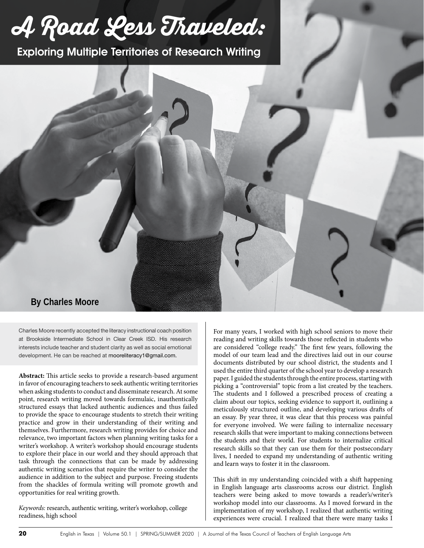# **A Road Less Traveled:**

Exploring Multiple Territories of Research Writing



Charles Moore recently accepted the literacy instructional coach position at Brookside Intermediate School in Clear Creek ISD. His research interests include teacher and student clarity as well as social emotional development. He can be reached at mooreliteracy1@gmail.com.

**Abstract:** This article seeks to provide a research-based argument in favor of encouraging teachers to seek authentic writing territories when asking students to conduct and disseminate research. At some point, research writing moved towards formulaic, inauthentically structured essays that lacked authentic audiences and thus failed to provide the space to encourage students to stretch their writing practice and grow in their understanding of their writing and themselves. Furthermore, research writing provides for choice and relevance, two important factors when planning writing tasks for a writer's workshop. A writer's workshop should encourage students to explore their place in our world and they should approach that task through the connections that can be made by addressing authentic writing scenarios that require the writer to consider the audience in addition to the subject and purpose. Freeing students from the shackles of formula writing will promote growth and opportunities for real writing growth.

*Keywords:* research, authentic writing, writer's workshop, college readiness, high school

For many years, I worked with high school seniors to move their reading and writing skills towards those reflected in students who are considered "college ready." The first few years, following the model of our team lead and the directives laid out in our course documents distributed by our school district, the students and I used the entire third quarter of the school year to develop a research paper. I guided the students through the entire process, starting with picking a "controversial" topic from a list created by the teachers. The students and I followed a prescribed process of creating a claim about our topics, seeking evidence to support it, outlining a meticulously structured outline, and developing various drafts of an essay. By year three, it was clear that this process was painful for everyone involved. We were failing to internalize necessary research skills that were important to making connections between the students and their world. For students to internalize critical research skills so that they can use them for their postsecondary lives, I needed to expand my understanding of authentic writing and learn ways to foster it in the classroom.

This shift in my understanding coincided with a shift happening in English language arts classrooms across our district. English teachers were being asked to move towards a reader's/writer's workshop model into our classrooms. As I moved forward in the implementation of my workshop, I realized that authentic writing experiences were crucial. I realized that there were many tasks I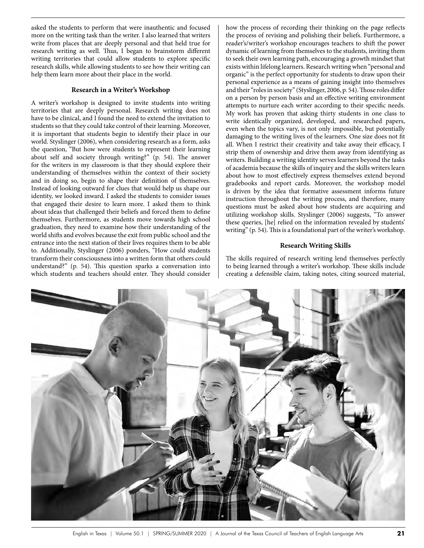asked the students to perform that were inauthentic and focused more on the writing task than the writer. I also learned that writers write from places that are deeply personal and that held true for research writing as well. Thus, I began to brainstorm different writing territories that could allow students to explore specific research skills, while allowing students to see how their writing can help them learn more about their place in the world.

#### **Research in a Writer's Workshop**

A writer's workshop is designed to invite students into writing territories that are deeply personal. Research writing does not have to be clinical, and I found the need to extend the invitation to students so that they could take control of their learning. Moreover, it is important that students begin to identify their place in our world. Styslinger (2006), when considering research as a form, asks the question, "But how were students to represent their learning about self and society through writing?" (p. 54). The answer for the writers in my classroom is that they should explore their understanding of themselves within the context of their society and in doing so, begin to shape their definition of themselves. Instead of looking outward for clues that would help us shape our identity, we looked inward. I asked the students to consider issues that engaged their desire to learn more. I asked them to think about ideas that challenged their beliefs and forced them to define themselves. Furthermore, as students move towards high school graduation, they need to examine how their understanding of the world shifts and evolves because the exit from public school and the entrance into the next station of their lives requires them to be able to. Additionally, Styslinger (2006) ponders, "How could students transform their consciousness into a written form that others could understand?" (p. 54). This question sparks a conversation into which students and teachers should enter. They should consider

how the process of recording their thinking on the page reflects the process of revising and polishing their beliefs. Furthermore, a reader's/writer's workshop encourages teachers to shift the power dynamic of learning from themselves to the students, inviting them to seek their own learning path, encouraging a growth mindset that exists within lifelong learners. Research writing when "personal and organic" is the perfect opportunity for students to draw upon their personal experience as a means of gaining insight into themselves and their "roles in society" (Styslinger, 2006, p. 54). Those roles differ on a person by person basis and an effective writing environment attempts to nurture each writer according to their specific needs. My work has proven that asking thirty students in one class to write identically organized, developed, and researched papers, even when the topics vary, is not only impossible, but potentially damaging to the writing lives of the learners. One size does not fit all. When I restrict their creativity and take away their efficacy, I strip them of ownership and drive them away from identifying as writers. Building a writing identity serves learners beyond the tasks of academia because the skills of inquiry and the skills writers learn about how to most effectively express themselves extend beyond gradebooks and report cards. Moreover, the workshop model is driven by the idea that formative assessment informs future instruction throughout the writing process, and therefore, many questions must be asked about how students are acquiring and utilizing workshop skills. Styslinger (2006) suggests, "To answer these queries, [he] relied on the information revealed by students' writing" (p. 54). This is a foundational part of the writer's workshop.

## **Research Writing Skills**

The skills required of research writing lend themselves perfectly to being learned through a writer's workshop. These skills include creating a defensible claim, taking notes, citing sourced material,

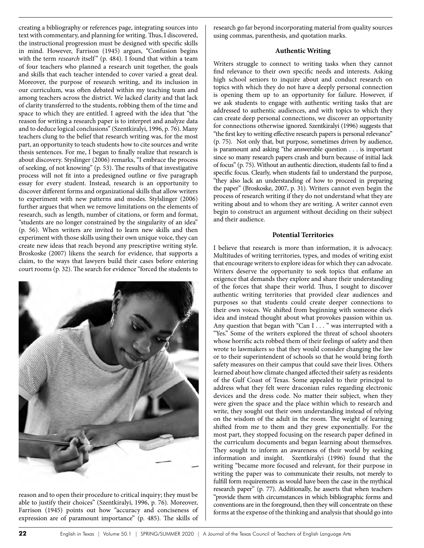the instructional progression must be designed with specific skills in mind. However, Farrison (1945) argues, "Confusion begins with the term *research* itself" (p. 484). I found that within a team of four teachers who planned a research unit together, the goals and skills that each teacher intended to cover varied a great deal. Moreover, the purpose of research writing, and its inclusion in our curriculum, was often debated within my teaching team and among teachers across the district. We lacked clarity and that lack of clarity transferred to the students, robbing them of the time and space to which they are entitled. I agreed with the idea that "the reason for writing a research paper is to interpret and analyze data and to deduce logical conclusions" (Szentkiralyi, 1996, p. 76). Many teachers clung to the belief that research writing was, for the most part, an opportunity to teach students how to cite sources and write thesis sentences. For me, I began to finally realize that research is about discovery. Styslinger (2006) remarks, "I embrace the process of seeking, of not knowing" (p. 53). The results of that investigative process will not fit into a predesigned outline or five paragraph essay for every student. Instead, research is an opportunity to discover different forms and organizational skills that allow writers to experiment with new patterns and modes. Stylslinger (2006) further argues that when we remove limitations on the elements of research, such as length, number of citations, or form and format, "students are no longer constrained by the singularity of an idea" (p. 56). When writers are invited to learn new skills and then experiment with those skills using their own unique voice, they can create new ideas that reach beyond any prescriptive writing style. Broskoske (2007) likens the search for evidence, that supports a claim, to the ways that lawyers build their cases before entering court rooms (p. 32). The search for evidence "forced the students to

creating a bibliography or references page, integrating sources into text with commentary, and planning for writing. Thus, I discovered,

research go far beyond incorporating material from quality sources using commas, parenthesis, and quotation marks.

# **Authentic Writing**

Writers struggle to connect to writing tasks when they cannot find relevance to their own specific needs and interests. Asking high school seniors to inquire about and conduct research on topics with which they do not have a deeply personal connection is opening them up to an opportunity for failure. However, if we ask students to engage with authentic writing tasks that are addressed to authentic audiences, and with topics to which they can create deep personal connections, we discover an opportunity for connections otherwise ignored. Szentkiralyi (1996) suggests that "the first key to writing effective research papers is personal relevance" (p. 75). Not only that, but purpose, sometimes driven by audience, is paramount and asking "the answerable question . . . is important since so many research papers crash and burn because of initial lack of focus" (p. 75). Without an authentic direction, students fail to find a specific focus. Clearly, when students fail to understand the purpose, "they also lack an understanding of how to proceed in preparing the paper" (Broskoske, 2007, p. 31). Writers cannot even begin the process of research writing if they do not understand what they are writing about and to whom they are writing. A writer cannot even begin to construct an argument without deciding on their subject and their audience.

# **Potential Territories**

I believe that research is more than information, it is advocacy. Multitudes of writing territories, types, and modes of writing exist that encourage writers to explore ideas for which they can advocate. Writers deserve the opportunity to seek topics that enflame an exigence that demands they explore and share their understanding of the forces that shape their world. Thus, I sought to discover authentic writing territories that provided clear audiences and purposes so that students could create deeper connections to their own voices. We shifted from beginning with someone else's idea and instead thought about what provokes passion within us. Any question that began with "Can I . . . " was interrupted with a "Yes." Some of the writers explored the threat of school shooters whose horrific acts robbed them of their feelings of safety and then wrote to lawmakers so that they would consider changing the law or to their superintendent of schools so that he would bring forth safety measures on their campus that could save their lives. Others learned about how climate changed affected their safety as residents of the Gulf Coast of Texas. Some appealed to their principal to address what they felt were draconian rules regarding electronic devices and the dress code. No matter their subject, when they were given the space and the place within which to research and write, they sought out their own understanding instead of relying on the wisdom of the adult in the room. The weight of learning shifted from me to them and they grew exponentially. For the most part, they stopped focusing on the research paper defined in the curriculum documents and began learning about themselves. They sought to inform an awareness of their world by seeking information and insight. Szentkiralyi (1996) found that the writing "became more focused and relevant, for their purpose in writing the paper was to communicate their results, not merely to fulfill form requirements as would have been the case in the mythical research paper" (p. 77). Additionally, he asserts that when teachers "provide them with circumstances in which bibliographic forms and conventions are in the foreground, then they will concentrate on these forms at the expense of the thinking and analysis that should go into

reason and to open their procedure to critical inquiry; they must be able to justify their choices" (Szentkiralyi, 1996, p. 76). Moreover, Farrison (1945) points out how "accuracy and conciseness of expression are of paramount importance" (p. 485). The skills of